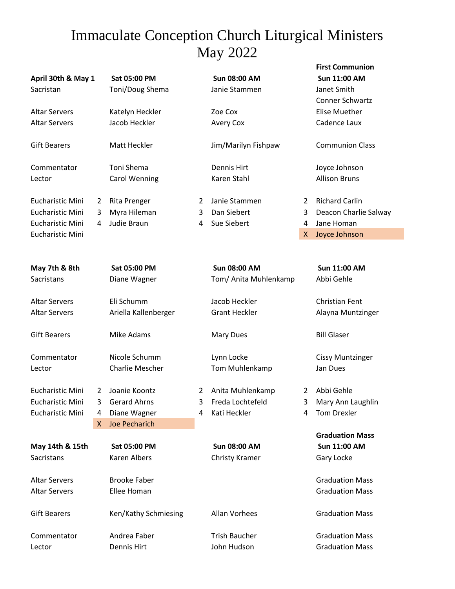## Immaculate Conception Church Liturgical Ministers May 2022

|                              |   |                        |   |                       |   | <b>First Communion</b>  |
|------------------------------|---|------------------------|---|-----------------------|---|-------------------------|
| April 30th & May 1           |   | Sat 05:00 PM           |   | <b>Sun 08:00 AM</b>   |   | <b>Sun 11:00 AM</b>     |
| Sacristan                    |   | Toni/Doug Shema        |   | Janie Stammen         |   | Janet Smith             |
|                              |   |                        |   |                       |   | <b>Conner Schwartz</b>  |
| <b>Altar Servers</b>         |   | Katelyn Heckler        |   | Zoe Cox               |   | <b>Elise Muether</b>    |
| <b>Altar Servers</b>         |   | Jacob Heckler          |   | <b>Avery Cox</b>      |   | Cadence Laux            |
| <b>Gift Bearers</b>          |   | <b>Matt Heckler</b>    |   | Jim/Marilyn Fishpaw   |   | <b>Communion Class</b>  |
| Commentator                  |   | Toni Shema             |   | <b>Dennis Hirt</b>    |   | Joyce Johnson           |
| Lector                       |   | <b>Carol Wenning</b>   |   | Karen Stahl           |   | <b>Allison Bruns</b>    |
| <b>Eucharistic Mini</b>      | 2 | <b>Rita Prenger</b>    | 2 | Janie Stammen         | 2 | <b>Richard Carlin</b>   |
| Eucharistic Mini             | 3 | Myra Hileman           | 3 | Dan Siebert           | 3 | Deacon Charlie Salway   |
| <b>Eucharistic Mini</b>      | 4 | Judie Braun            | 4 | Sue Siebert           | 4 | Jane Homan              |
| <b>Eucharistic Mini</b>      |   |                        |   |                       | X | Joyce Johnson           |
|                              |   |                        |   |                       |   |                         |
| May 7th & 8th                |   | Sat 05:00 PM           |   | <b>Sun 08:00 AM</b>   |   | <b>Sun 11:00 AM</b>     |
| Sacristans                   |   | Diane Wagner           |   | Tom/ Anita Muhlenkamp |   | Abbi Gehle              |
| <b>Altar Servers</b>         |   | Eli Schumm             |   | Jacob Heckler         |   | <b>Christian Fent</b>   |
| <b>Altar Servers</b>         |   | Ariella Kallenberger   |   | <b>Grant Heckler</b>  |   | Alayna Muntzinger       |
| <b>Gift Bearers</b>          |   | <b>Mike Adams</b>      |   | <b>Mary Dues</b>      |   | <b>Bill Glaser</b>      |
| Commentator                  |   | Nicole Schumm          |   | Lynn Locke            |   | <b>Cissy Muntzinger</b> |
| Lector                       |   | <b>Charlie Mescher</b> |   | Tom Muhlenkamp        |   | Jan Dues                |
| <b>Eucharistic Mini</b>      | 2 | Joanie Koontz          | 2 | Anita Muhlenkamp      | 2 | Abbi Gehle              |
| <b>Eucharistic Mini</b>      | 3 | <b>Gerard Ahrns</b>    | 3 | Freda Lochtefeld      | 3 | Mary Ann Laughlin       |
| <b>Eucharistic Mini</b><br>4 |   | Diane Wagner           | 4 | Kati Heckler          | 4 | <b>Tom Drexler</b>      |
|                              | X | <b>Joe Pecharich</b>   |   |                       |   |                         |
|                              |   |                        |   |                       |   | <b>Graduation Mass</b>  |
| May 14th & 15th              |   | Sat 05:00 PM           |   | <b>Sun 08:00 AM</b>   |   | Sun 11:00 AM            |
| Sacristans                   |   | Karen Albers           |   | Christy Kramer        |   | Gary Locke              |
| <b>Altar Servers</b>         |   | <b>Brooke Faber</b>    |   |                       |   | <b>Graduation Mass</b>  |
| <b>Altar Servers</b>         |   | Ellee Homan            |   |                       |   | <b>Graduation Mass</b>  |

Gift Bearers **Ken/Kathy Schmiesing** Allan Vorhees Graduation Mass

Commentator **Andrea Faber** Trish Baucher Graduation Mass Lector **Dennis Hirt** John Hudson Graduation Mass